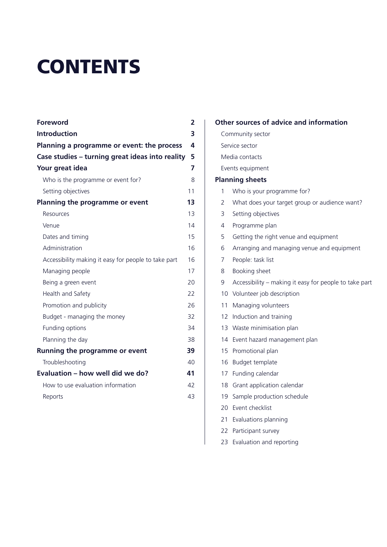# **CONTENTS**

| <b>Foreword</b>                                      | $\overline{2}$ |
|------------------------------------------------------|----------------|
| <b>Introduction</b>                                  | 3              |
| Planning a programme or event: the process           | 4              |
| Case studies – turning great ideas into reality      | 5              |
| Your great idea                                      | 7              |
| Who is the programme or event for?                   | 8              |
| Setting objectives                                   | 11             |
| Planning the programme or event                      | 13             |
| Resources                                            | 13             |
| Venue                                                | 14             |
| Dates and timing                                     | 15             |
| Administration                                       | 16             |
| Accessibility making it easy for people to take part | 16             |
| Managing people                                      | 17             |
| Being a green event                                  | 20             |
| Health and Safety                                    | 22             |
| Promotion and publicity                              | 26             |
| Budget - managing the money                          | 32             |
| Funding options                                      | 34             |
| Planning the day                                     | 38             |
| Running the programme or event                       | 39             |
| Troubleshooting                                      | 40             |
| Evaluation - how well did we do?                     | 41             |
| How to use evaluation information                    | 42             |
| Reports                                              | 43             |

### **Other sources of advice and information**

- Community sector Service sector Media contacts Events equipment **Planning sheets** 1 Who is your programme for? 2 What does your target group or audience want? 3 Setting objectives 4 Programme plan 5 Getting the right venue and equipment 6 Arranging and managing venue and equipment 7 People: task list 8 Booking sheet 9 Accessibility – making it easy for people to take part 10 Volunteer job description 11 Managing volunteers 12 Induction and training 13 Waste minimisation plan 14 Event hazard management plan 15 Promotional plan 16 Budget template 17 Funding calendar 18 Grant application calendar 19 Sample production schedule 20 Event checklist 21 Evaluations planning 22 Participant survey
	- 23 Evaluation and reporting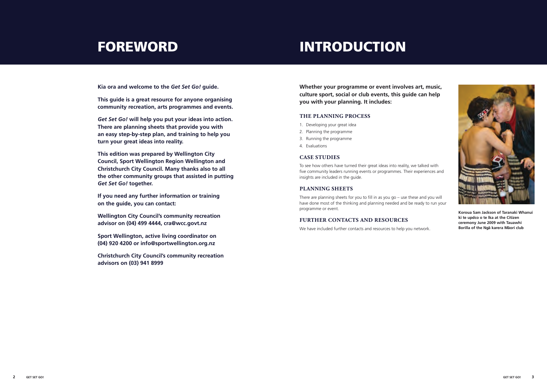# FOREWORD INTRODUCTION

**Kia ora and welcome to the** *Get Set Go!* **guide.**

**This guide is a great resource for anyone organising community recreation, arts programmes and events.**

*Get Set Go!* **will help you put your ideas into action. There are planning sheets that provide you with an easy step-by-step plan, and training to help you turn your great ideas into reality.**

**This edition was prepared by Wellington City Council, Sport Wellington Region Wellington and Christchurch City Council. Many thanks also to all the other community groups that assisted in putting**  *Get Set Go!* **together.** 

**If you need any further information or training on the guide, you can contact:** 

**Wellington City Council's community recreation advisor on (04) 499 4444, cra@wcc.govt.nz** 

**Sport Wellington, active living coordinator on (04) 920 4200 or info@sportwellington.org.nz**



**Koroua Sam Jackson of Taranaki Whanui ki te updco o te lka at the Citizen ceremony June 2009 with Tauawhi Borilla of the Ngā karera Māori club** 

**Christchurch City Council's community recreation advisors on (03) 941 8999**

**Whether your programme or event involves art, music, culture sport, social or club events, this guide can help you with your planning. It includes:** 

#### **The planning process**

- 1. Developing your great idea
- 2. Planning the programme
- 3. Running the programme
- 4. Evaluations

#### **Case studies**

To see how others have turned their great ideas into reality, we talked with five community leaders running events or programmes. Their experiences and insights are included in the guide.

#### **Planning sheets**

There are planning sheets for you to fill in as you go – use these and you will have done most of the thinking and planning needed and be ready to run your programme or event.

#### **Further contacts and resources**

We have included further contacts and resources to help you network.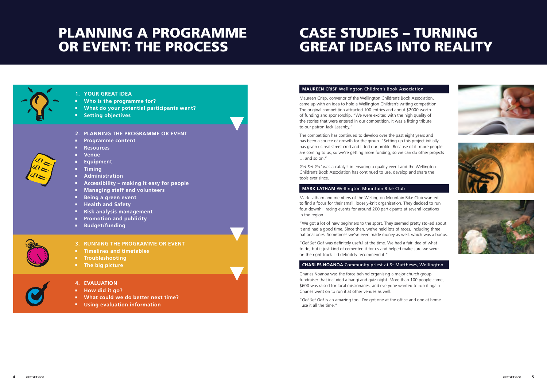# PLANNING A PROGRAMME<br>OR EVENT: THE PROCESS

# Case studies – turning great ideas into reality



#### **MAUREEN CRISP** Wellington Children's Book Association

Maureen Crisp, convenor of the Wellington Children's Book Association, came up with an idea to hold a Wellington Children's writing competition. The original competition attracted 100 entries and about \$2000 worth of funding and sponsorship. "We were excited with the high quality of the stories that were entered in our competition. It was a fitting tribute to our patron Jack Lasenby."

The competition has continued to develop over the past eight years and has been a source of growth for the group. "Setting up this project initially has given us real street cred and lifted our profile. Because of it, more people are coming to us, so we're getting more funding, so we can do other projects … and so on."

*Get Set Go!* was a catalyst in ensuring a quality event and the Wellington Children's Book Association has continued to use, develop and share the tools ever since.

#### **MARK LATHAM** Wellington Mountain Bike Club

- **Who is the programme for?**
- **What do your potential participants want?**
- **Setting objectives**

Mark Latham and members of the Wellington Mountain Bike Club wanted to find a focus for their small, loosely-knit organisation. They decided to run four downhill racing events for around 200 participants at several locations in the region.

"We got a lot of new beginners to the sport. They seemed pretty stoked about it and had a good time. Since then, we've held lots of races, including three national ones. Sometimes we've even made money as well, which was a bonus.

"*Get Set Go!* was definitely useful at the time. We had a fair idea of what to do, but it just kind of cemented it for us and helped make sure we were on the right track. I'd definitely recommend it."

#### **CHARLES NOANOA** Community priest at St Matthews, Wellington

Charles Noanoa was the force behind organising a major church group fundraiser that included a hangi and quiz night. More than 100 people came, \$600 was raised for local missionaries, and everyone wanted to run it again. Charles went on to run it at other venues as well.

"*Get Set Go!* is an amazing tool. I've got one at the office and one at home. I use it all the time."

- 
- 
- 
- 
- 
- 
- 
- 







### **1. YOUR GREAT IDEA**

#### **2. PLANNING THE PROGRAMME OR EVENT**

- **Programme content**
- **Resources**
- **Venue**
- **Equipment**
- **Timing**
- **Administration**
- **Accessibility making it easy for people**
- **Managing staff and volunteers**
- **Being a green event**
- **Health and Safety**
- **Risk analysis management**
- **Promotion and publicity**
- **Budget/funding**



### **3. RUNNING THE PROGRAMME OR EVENT**

- **Timelines and timetables**
- **Troubleshooting**
- **The big picture**



### **4. EVALUATION**

- **How did it go?**
- **What could we do better next time?**
- **Using evaluation information**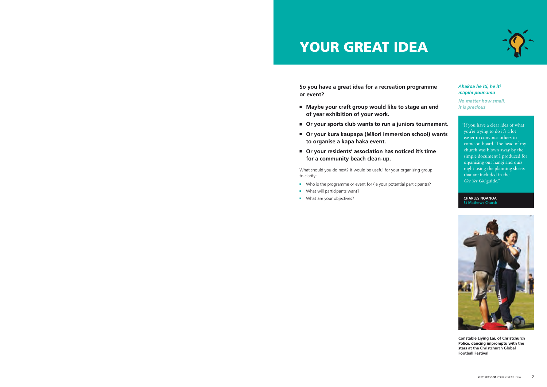**So you have a great idea for a recreation programme or event?** 

- Maybe your craft group would like to stage an end **of year exhibition of your work.**
- **Or your sports club wants to run a juniors tournament.**
- Or your kura kaupapa (Māori immersion school) wants **to organise a kapa haka event.**
- Or your residents' association has noticed it's time **for a community beach clean-up.**

What should you do next? It would be useful for your organising group to clarify:

- Who is the programme or event for (ie your potential participants)?
- What will participants want?
- What are your objectives?





### YOUR GREAT IDEA

"If you have a clear idea of what you're trying to do it's a lot easier to convince others to come on board. The head of my church was blown away by the simple document I produced for organising our hangi and quiz night using the planning sheets that are included in the *Get Set Go!* guide."

#### **CHARLES NOANOA St Mathews Church**



**Constable Liying Lai, of Christchurch Police, dancing impromptu with the stars at the Christchurch Global Football Festival**

#### *Ahakoa he iti, he iti m-apihi pounamu*

*No matter how small, it is precious*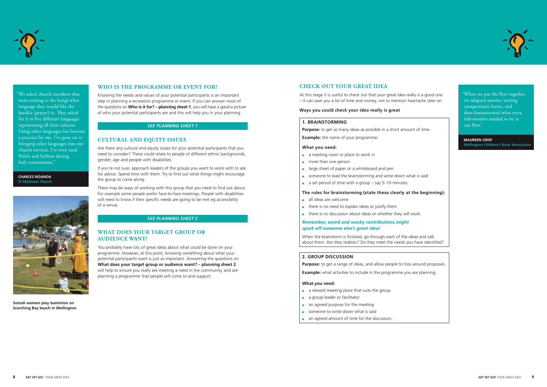

#### **Who is the programme or event for?**

Knowing the needs and values of your potential participants is an important step in planning a recreation programme or event. If you can answer most of the questions on **Who is it for? – planning sheet 1**, you will have a good a picture of who your potential participants are and this will help you in your planning.

#### **Cultural and equity issues**

Are there any cultural and equity issues for your potential participants that you need to consider? These could relate to people of different ethnic backgrounds, gender, age and people with disabilities.

If you're not sure, approach leaders of the groups you want to work with to ask for advice. Spend time with them. Try to find out what things might encourage the group to come along.

There may be ways of working with this group that you need to find out about. For example some people prefer face-to-face meetings. People with disabilities will need to know if their specific needs are going to be met eg accessibility of a venue.

#### **What does your target group or audience want?**

You probably have lots of great ideas about what could be done on your programme. However, at this point, knowing something about what your potential participants want is just as important. Answering the questions on **What does your target group or audience want? – planning sheet 2** will help to ensure you really are meeting a need in the community, and are planning a programme that people will come to and support.

#### *See Planning sheet 1*



"We asked church members that were coming to the hangi what language they would like the karakia (prayer) in. They asked for it in five different languages representing all their cultures. Using other languages has become a practice for me. I've gone on to bringing other languages into my church services. I've even used Polish and Serbian during holy communion."

**CHARLES NOANOA St Mathews Church**



**Somali women play baminton on Scorching Bay beach in Wellington**

#### *See Planning sheet 2*

"When we put the flyer together we adapted another writing competition's forms, and then brainstormed what extra information needed to be in our flyer."

**MAUREEN CRISP Wellington Children's Book Association**

#### **Check out your great idea**

At this stage it is useful to check out that your great idea really is a good one – it can save you a lot of time and money, not to mention heartache later on.

#### **Ways you could check your idea really is great**

#### **1. Brainstorming**

**Purpose:** to get as many ideas as possible in a short amount of time.

**Example:** the name of your programme.

#### **What you need:**

- a meeting room or place to work in
- more than one person
- large sheet of paper or a whiteboard and pen
- someone to lead the brainstorming and write down what is said
- a set period of time with a group say 5–10 minutes.

#### **The rules for brainstorming (state these clearly at the beginning):**

- all ideas are welcome
- there is no need to explain ideas or justify them
- there is no discussion about ideas or whether they will work.

#### *Remember, weird and wacky contributions might spark off someone else's great idea!*

When the brainstorm is finished, go through each of the ideas and talk about them. Are they realistic? Do they meet the needs you have identified?

#### **2. Group discussion**

**Purpose:** to get a range of ideas, and allow people to toss around proposals.

**Example:** what activities to include in the programme you are planning.

#### **What you need:**

- a relaxed meeting place that suits the group
- a group leader or facilitator
- an agreed purpose for the meeting
- someone to write down what is said
- an agreed amount of time for the discussion.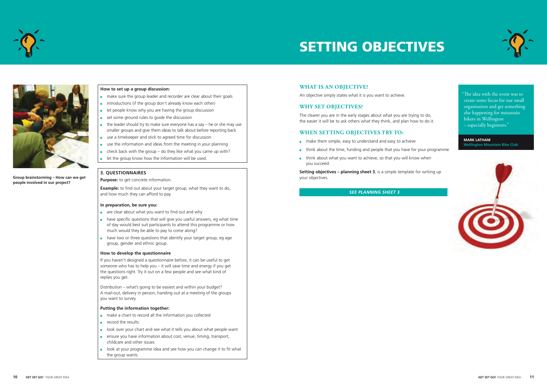

#### **How to set up a group discussion:**

- make sure the group leader and recorder are clear about their goals
- introductions (if the group don't already know each other)
- let people know why you are having the group discussion
- set some ground rules to guide the discussion
- the leader should try to make sure everyone has a say he or she may use smaller groups and give them ideas to talk about before reporting back
- use a timekeeper and stick to agreed time for discussion
- use the information and ideas from the meeting in your planning
- $\blacksquare$  check back with the group do they like what you came up with?
- let the group know how the information will be used.

**Example:** to find out about your target group, what they want to do, and how much they can afford to pay.

- are clear about what you want to find out and why
- have specific questions that will give you useful answers, eg what time of day would best suit participants to attend this programme or how much would they be able to pay to come along?
- have two or three questions that identify your target group, eg age group, gender and ethnic group.

#### **3. Questionnaires**

**Purpose:** to get concrete information.

#### **In preparation, be sure you:**

- make a chart to record all the information you collected
- record the results
- look over your chart and see what it tells you about what people want
- ensure you have information about cost, venue, timing, transport, childcare and other issues
- look at your programme idea and see how you can change it to fit what the group wants.

#### WHAT IS AN OBIECTIVE?

#### **How to develop the questionnaire**

- make them simple, easy to understand and easy to achieve
- think about the time, funding and people that you have for your programme
- think about what you want to achieve, so that you will know when you succeed.

**Setting objectives – planning sheet 3**, is a simple template for writing up your objectives.

If you haven't designed a questionnaire before, it can be useful to get someone who has to help you – it will save time and energy if you get the questions right. Try it out on a few people and see what kind of replies you get.

Distribution – what's going to be easiest and within your budget? A mail-out, delivery in person, handing out at a meeting of the groups you want to survey.

#### **Putting the information together:**



**Group brainstorming – How can we get people involved in our project?**

An objective simply states what it is you want to achieve.

#### **Why set objectives?**

The clearer you are in the early stages about what you are trying to do, the easier it will be to ask others what they think, and plan how to do it.

#### WHEN SETTING OBJECTIVES TRY TO:





"The idea with the event was to create some focus for our small organisation and get something else happening for mountain bikers in Wellington – especially beginners."

**MARK LATHAM Wellington Mountain Bike Club**



*See Planning sheet 3*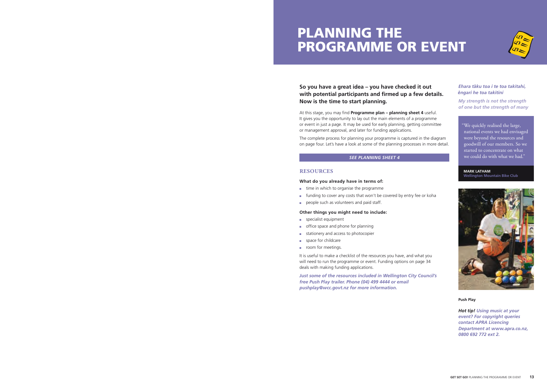# PLANNING THE<br>PROGRAMME OR EVENT

**So you have a great idea – you have checked it out with potential participants and firmed up a few details. Now is the time to start planning.** 

At this stage, you may find **Programme plan – planning sheet 4** useful. It gives you the opportunity to lay out the main elements of a programme or event in just a page. It may be used for early planning, getting committee or management approval, and later for funding applications.

The complete process for planning your programme is captured in the diagram on page four. Let's have a look at some of the planning processes in more detail.

#### **Resources**

#### **What do you already have in terms of:**

- time in which to organise the programme
- funding to cover any costs that won't be covered by entry fee or koha
- people such as volunteers and paid staff.

#### **Other things you might need to include:**

- specialist equipment
- office space and phone for planning
- stationery and access to photocopier
- space for childcare
- room for meetings.

It is useful to make a checklist of the resources you have, and what you will need to run the programme or event. Funding options on page 34 deals with making funding applications.

*Just some of the resources included in Wellington City Council's free Push Play trailer. Phone (04) 499 4444 or email pushplay@wcc.govt.nz for more information.*



#### *Ehara t-aku toa i te toa takitahi, engari he toa takitini*

*My strength is not the strength of one but the strength of many*

"We quickly realised the large, national events we had envisaged were beyond the resources and goodwill of our members. So we started to concentrate on what we could do with what we had."

**MARK LATHAM Wellington Mountain Bike Club**



#### *See Planning sheet 4*

**Push Play**

*Hot tip! Using music at your event? For copyright queries contact APRA Licencing Department at www.apra.co.nz, 0800 692 772 ext 2.*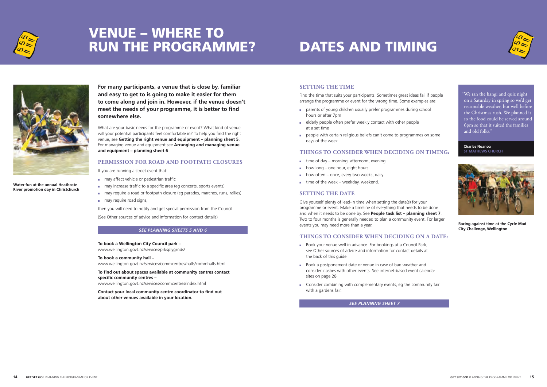

Find the time that suits your participants. Sometimes great ideas fail if people arrange the programme or event for the wrong time. Some examples are:

- parents of young children usually prefer programmes during school hours or after 7pm
- elderly people often prefer weekly contact with other people at a set time
- people with certain religious beliefs can't come to programmes on some days of the week.

### **Things to consider when deciding on timing:**

- $\blacksquare$  time of day morning, afternoon, evening
- $\Box$  how long one hour, eight hours
- $\blacksquare$  how often once, every two weeks, daily
- $\blacksquare$  time of the week weekday, weekend.

#### **SETTING THE DATE**

Give yourself plenty of lead-in time when setting the date(s) for your programme or event. Make a timeline of everything that needs to be done and when it needs to be done by. See **People task list – planning sheet 7**. Two to four months is generally needed to plan a community event. For larger events you may need more than a year.

#### **Things to consider when deciding on a date:**

- Book your venue well in advance. For bookings at a Council Park, see Other sources of advice and information for contact details at the back of this guide
- Book a postponement date or venue in case of bad weather and consider clashes with other events. See internet-based event calendar sites on page 28
- Consider combining with complementary events, eg the community fair with a gardens fair.

*See Planning sheet 7*

"We ran the hangi and quiz night on a Saturday in spring so we'd get reasonable weather, but well before the Christmas rush. We planned it so the food could be served around 6pm so that it suited the families and old folks."

#### **Charles Noanoa ST MATHEWS CHURCH**



**Racing against time at the Cycle Mad City Challenge, Wellington**

**For many participants, a venue that is close by, familiar and easy to get to is going to make it easier for them to come along and join in. However, if the venue doesn't meet the needs of your programme, it is better to find somewhere else.** 

What are your basic needs for the programme or event? What kind of venue will your potential participants feel comfortable in? To help you find the right venue, see **Getting the right venue and equipment – planning sheet 5**. For managing venue and equipment see **Arranging and managing venue and equipment – planning sheet 6**.

#### **Permission for road and footpath closures**

If you are running a street event that:

- may affect vehicle or pedestrian traffic
- may increase traffic to a specific area (eg concerts, sports events)
- may require a road or footpath closure (eq parades, marches, runs, rallies)
- may require road signs,

then you will need to notify and get special permission from the Council. (See Other sources of advice and information for contact details)



### Venue – where to run the programme?

# DATES AND TIMING

#### *See Planning sheets 5 AND 6*



**Water fun at the annual Heathcote River promotion day in Christchurch**

#### **To book a Wellington City Council park –**

www.wellington.govt.nz/services/prksplygrnds/

**To book a community hall –**  www.wellington.govt.nz/services/commcentres/halls/commhalls.html

**To find out about spaces available at community centres contact specific community centres –** www.wellington.govt.nz/services/commcentres/index.html

**Contact your local community centre coordinator to find out about other venues available in your location.**

#### **SETTING THE TIME**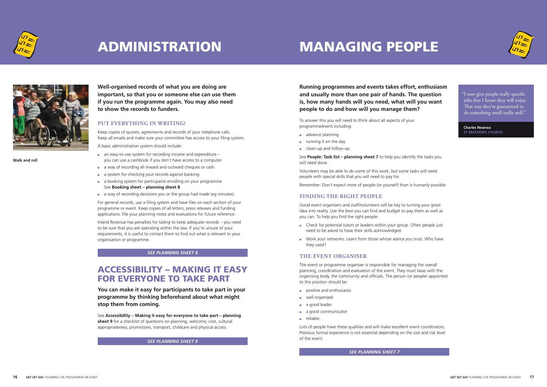





# Administration

**Well-organised records of what you are doing are important, so that you or someone else can use them if you run the programme again. You may also need to show the records to funders.**

#### **Put everything in writing!**

Keep copies of quotes, agreements and records of your telephone calls. Keep all emails and make sure your committee has access to your filing system.

A basic administration system should include:

- an easy-to-use system for recording income and expenditure you can use a cashbook if you don't have access to a computer
- a way of recording all inward and outward cheques or cash
- a system for checking your records against banking
- a booking system for participants enrolling on your programme See **Booking sheet – planning sheet 8**
- a way of recording decisions you or the group had made (eg minutes).

For general records, use a filing system and have files on each section of your programme or event. Keep copies of all letters, press releases and funding applications. File your planning notes and evaluations for future reference.

Inland Revenue has penalties for failing to keep adequate records – you need to be sure that you are operating within the law. If you're unsure of your requirements, it is useful to contact them to find out what is relevant to your organisation or programme.

### Accessibility – making it easy for everyone to take part

- Check for potential tutors or leaders within your group. Often people just need to be asked to have their skills acknowledged.
- Work your networks. Learn from those whose advice you trust. Who have they used?

**You can make it easy for participants to take part in your programme by thinking beforehand about what might stop them from coming.**

- positive and enthusiastic
- well organised
- a good leader
- a good communicator
- reliable.

See **Accessibility – Making it easy for everyone to take part – planning sheet 9** for a checklist of questions on planning, welcome, cost, cultural appropriateness, promotions, transport, childcare and physical access.

*See Planning sheet 9*

#### *See Planning sheet 8*

# Managing people



**Running programmes and events takes effort, enthusiasm and usually more than one pair of hands. The question is, how many hands will you need, what will you want people to do and how will you manage them?** 

To answer this you will need to think about all aspects of your programme/event including:

- advance planning
- running it on the day
- clean-up and follow-up.

See **People: Task list – planning sheet 7** to help you identify the tasks you will need done.

Volunteers may be able to do some of this work, but some tasks will need people with special skills that you will need to pay for.

Remember: Don't expect more of people (or yourself) than is humanly possible.

#### **Finding the right people**

Good event organisers and staff/volunteers will be key to turning your great idea into reality. Use the best you can find and budget to pay them as well as you can. To help you find the right people:

#### **The event organiser**

The event or programme organiser is responsible for managing the overall planning, coordination and evaluation of the event. They must liaise with the organising body, the community and officials. The person (or people) appointed to this position should be:

Lots of people have these qualities and will make excellent event coordinators. Previous formal experience is not essential depending on the size and risk level of the event.

"I now give people really specific jobs that I know they will enjoy. That way they're guaranteed to do something small really well."

**Charles Noanoa ST MATHEWS CHURCH**

**Walk and roll**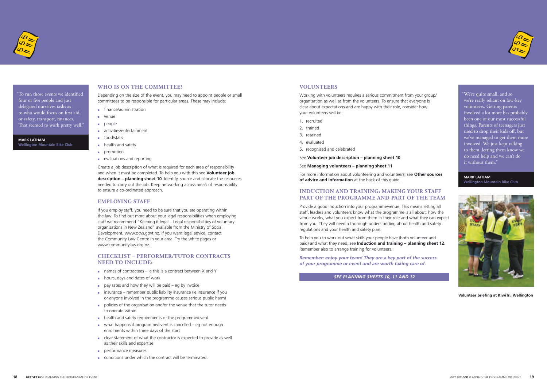

#### **Who is on the committee?**

Depending on the size of the event, you may need to appoint people or small committees to be responsible for particular areas. These may include:

- finance/administration
- venue
- people
- activities/entertainment
- food/stalls
- health and safety
- promotion
- evaluations and reporting

Create a job description of what is required for each area of responsibility and when it must be completed. To help you with this see **Volunteer job description – planning sheet 10**. Identify, source and allocate the resources needed to carry out the job. Keep networking across area's of responsibility to ensure a co-ordinated approach.

#### **EMPLOYING STAFF**

- names of contractees ie this is a contract between X and Y
- hours, days and dates of work
- $\Box$  pay rates and how they will be paid eg by invoice
- $\blacksquare$  insurance remember public liability insurance (ie insurance if you or anyone involved in the programme causes serious public harm)
- policies of the organisation and/or the venue that the tutor needs to operate within
- health and safety requirements of the programme/event
- $\blacksquare$  what happens if programme/event is cancelled eg not enough enrolments within three days of the start
- clear statement of what the contractor is expected to provide as well as their skills and expertise
- performance measures
- conditions under which the contract will be terminated.

If you employ staff, you need to be sure that you are operating within the law. To find out more about your legal responsibilities when employing staff we recommend "Keeping it legal – Legal responsibilities of voluntary organisations in New Zealand" available from the Ministry of Social Development, www.ocvs.govt.nz. If you want legal advice, contact the Community Law Centre in your area. Try the white pages or www.communitylaw.org.nz.



"To run those events we identified four or five people and just delegated ourselves tasks as to who would focus on first aid, or safety, transport, finances. That seemed to work pretty well."

#### **Checklist – performer/tutor contracts need to include:**

#### **MARK LATHAM**

**Wellington Mountain Bike Club**

#### **Volunteers**

Working with volunteers requires a serious commitment from your group/ organisation as well as from the volunteers. To ensure that everyone is clear about expectations and are happy with their role, consider how your volunteers will be:

- 1. recruited
- 2. trained
- 3. retained
- 4. evaluated
- 5. recognised and celebrated

#### See **Volunteer job description – planning sheet 10**

#### See **Managing volunteers – planning sheet 11**

For more information about volunteering and volunteers, see **Other sources of advice and information** at the back of this guide.

#### **Induction and training: making your staff part of the programme and part of the team**

Provide a good induction into your programme/venue. This means letting all staff, leaders and volunteers know what the programme is all about, how the venue works, what you expect from them in their role and what they can expect from you. They will need a thorough understanding about health and safety regulations and your health and safety plan.

To help you to work out what skills your people have (both volunteer and paid) and what they need, see **Induction and training – planning sheet 12**. Remember also to arrange training for volunteers.

*Remember: enjoy your team! They are a key part of the success of your programme or event and are worth taking care of.*

"We're quite small, and so we're really reliant on low-key volunteers. Getting parents involved a lot more has probably been one of our most successful things. Parents of teenagers just used to drop their kids off, but we've managed to get them more involved. We just kept talking to them, letting them know we do need help and we can't do it without them."

**MARK LATHAM Wellington Mountain Bike Club**



**Volunteer briefing at KiwiTri, Wellington**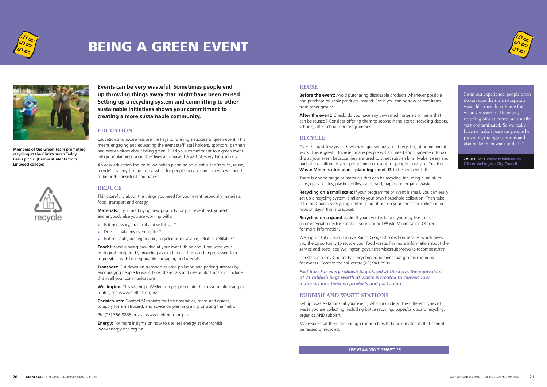



### Being a green event



**Events can be very wasteful. Sometimes people end up throwing things away that might have been reused. Setting up a recycling system and committing to other sustainable initiatives shows your commitment to creating a more sustainable community.** 

#### **Education**

Education and awareness are the keys to running a successful green event. This means engaging and educating the event staff, stall holders, sponsors, partners and event visitors about being green. Build your commitment to a green event into your planning, your objectives and make it a part of everything you do.

Food: If food is being provided at your event, think about reducing your ecological footprint by providing as much local, fresh and unprocessed food as possible, with biodegradable packaging and utensils.

An easy education tool to follow when planning an event is the 'reduce, reuse, recycle' strategy. It may take a while for people to catch on – so you will need to be both consistent and patient.

**Transport:** Cut down on transport-related pollution and parking stresses by encouraging people to walk, bike, share cars and use public transport. Include this in all your communications.

#### **Reduce**

Think carefully about the things you need for your event, especially materials, food, transport and energy.

**Materials:** If you are buying new products for your event, ask yourself and anybody else you are working with:

- Is it necessary, practical and will it last?
- Does it make my event better?
- Is it reusable, biodegradable, recycled or recyclable, reliable, refillable?

**Before the event:** Avoid purchasing disposable products whenever possible and purchase reusable products instead. See if you can borrow or rent items from other groups.

**Recycling on a grand scale:** If your event is larger, you may like to use a commercial collector. Contact your Council Waste Minimisation Officer for more information.

**Wellington:** This site helps Wellington people create their own public transport routes, see www.metlink.org.nz

**Christchurch:** Contact Metroinfo for free timetables, maps and guides, to apply for a metrocard, and advice on planning a trip or using the metro.

Ph: (03) 366 8855 or visit www.metroinfo.org.nz

**Energy:** For more insights on how to use less energy at events visit www.energywise.org.nz

#### **Reuse**

**After the event:** Check: do you have any unwanted materials or items that can be reused? Consider offering them to second-hand stores, recycling depots, schools, after-school care programmes.

#### **Recycle**

Over the past few years, Kiwis have got serious about recycling at home and at work. This is great! However, many people will still need encouragement to do this at your event because they are used to street rubbish bins. Make it easy and part of the culture of your programme or event for people to recycle. See the **Waste Minimisation plan – planning sheet 13** to help you with this.

There is a wide range of materials that can be recycled, including aluminium cans, glass bottles, plastic bottles, cardboard, paper and organic waste.

**Recycling on a small scale:** If your programme or event is small, you can easily set up a recycling system, similar to your own household collection. Then take it to the Council's recycling centre or put it out on your street for collection on rubbish day if this is practical.

Wellington City Council runs a *Kai to Compost* collection service, which gives you the opportunity to recycle your food waste. For more information about the service and costs, see Wellington.govt.nz/services/rubbrecyc/kaitocompost.html

Christchurch City Council has recycling equipment that groups can book for events. Contact the call centre (03) 941 8999.

*Fact box: For every rubbish bag placed at the kerb, the equivalent of 71 rubbish bags worth of waste is created to convert raw materials into finished products and packaging.*

#### **Rubbish and Waste Stations**

Set up 'waste stations' at your event, which include all the different types of waste you are collecting, including bottle recycling, paper/cardboard recycling, organics AND rubbish.

Make sure that there are enough rubbish bins to handle materials that cannot be reused or recycled.

"From our experience, people often do not take the time to separate waste like they do at home for whatever reasons. Therefore, recycling bins at events are usually very contaminated. So we really have to make it easy for people by providing the right options and also make them want to do it."

**ZACH RISSEL Waste Minimisation Officer Wellington City Council**

**Members of the Green Team promoting recycling at the Christchurch Teddy Bears picnic. (Drama students from Linwood college)**

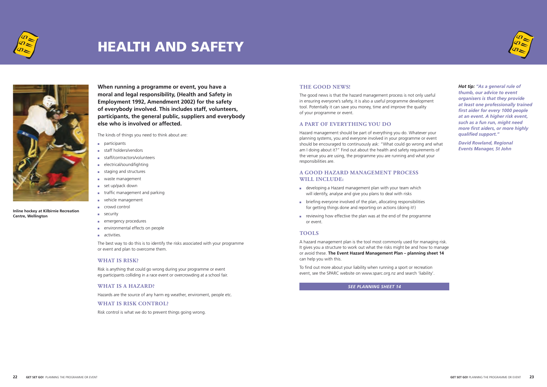



### Health and safety



**When running a programme or event, you have a moral and legal responsibility, (Health and Safety in Employment 1992, Amendment 2002) for the safety of everybody involved. This includes staff, volunteers, participants, the general public, suppliers and everybody else who is involved or affected.** 

The kinds of things you need to think about are:

- participants
- staff holders/vendors
- staff/contractors/volunteers
- electrical/sound/lighting
- staging and structures
- waste management
- set up/pack down
- traffic management and parking
- vehicle management
- crowd control
- security
- emergency procedures
- environmental effects on people
- activities.

The best way to do this is to identify the risks associated with your programme or event and plan to overcome them.

#### **WHAT IS RISK?**

Risk is anything that could go wrong during your programme or event eg participants colliding in a race event or overcrowding at a school fair.

#### **What is A HAZARD?**

Hazards are the source of any harm eg weather, enviroment, people etc.

#### **What is risk control?**

- developing a Hazard management plan with your team which will identify, analyse and give you plans to deal with risks
- briefing everyone involved of the plan, allocating responsibilities for getting things done and reporting on actions (doing it!)
- reviewing how effective the plan was at the end of the programme or event.

Risk control is what we do to prevent things going wrong.

**Inline hockey at Kilbirnie Recreation Centre, Wellington**

#### **The good news!**

The good news is that the hazard management process is not only useful in ensuring everyone's safety, it is also a useful programme development tool. Potentially it can save you money, time and improve the quality of your programme or event.

#### **A part of everything you do**

Hazard management should be part of everything you do. Whatever your planning systems, you and everyone involved in your programme or event should be encouraged to continuously ask: "What could go wrong and what am I doing about it?" Find out about the health and safety requirements of the venue you are using, the programme you are running and what your responsibilities are.

#### **A good hazard management process will include:**

#### **Tools**

A hazard management plan is the tool most commonly used for managing risk. It gives you a structure to work out what the risks might be and how to manage or avoid these. **The Event Hazard Management Plan – planning sheet 14** can help you with this.

To find out more about your liability when running a sport or recreation event, see the SPARC website on www.sparc.org.nz and search 'liability'. *Hot tip: "As a general rule of thumb, our advice to event organisers is that they provide at least one professionally trained first aider for every 1000 people at an event. A higher risk event, such as a fun run, might need more first aiders, or more highly qualified support."* 

*David Rowland, Regional Events Manager, St John*

*See Planning sheet 14*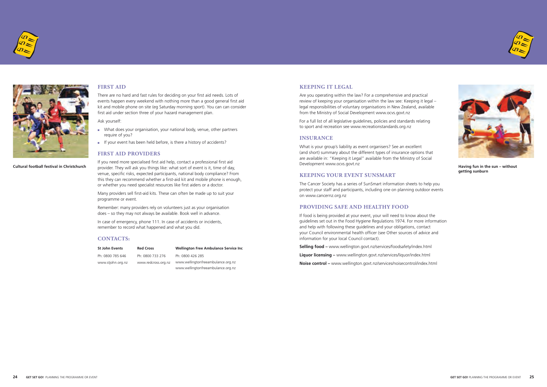**First aid**

- What does your organisation, your national body, venue, other partners require of you?
- If your event has been held before, is there a history of accidents?

There are no hard and fast rules for deciding on your first aid needs. Lots of events happen every weekend with nothing more than a good general first aid kit and mobile phone on site (eg Saturday morning sport). You can can consider first aid under section three of your hazard management plan.

Ask yourself:

#### **First aid providers**

If you need more specialised first aid help, contact a professional first aid provider. They will ask you things like: what sort of event is it, time of day, venue, specific risks, expected participants, national body compliance? From this they can recommend whether a first-aid kit and mobile phone is enough, or whether you need specialist resources like first aiders or a doctor.

Many providers sell first-aid kits. These can often be made up to suit your programme or event.

Remember: many providers rely on volunteers just as your organisation does – so they may not always be available. Book well in advance.

In case of emergency, phone 111. In case of accidents or incidents, remember to record what happened and what you did.

#### **Contacts:**

**St John Events Red Cross Wellington Free Ambulance Service Inc**

Ph: 0800 785 646 Ph: 0800 733 276 Ph: 0800 426 285

www.stjohn.org.nz www.redcross.org.nz www.wellingtonfreeambulance.org.nz www.wellingtonfreeambulance.org.nz





**Cultural football festival in Christchurch**

#### **Keeping it legal**

Are you operating within the law? For a comprehensive and practical review of keeping your organisation within the law see: Keeping it legal – legal responsibilities of voluntary organisations in New Zealand, available from the Ministry of Social Development www.ocvs.govt.nz

For a full list of all legislative guidelines, policies and standards relating to sport and recreation see www.recreationstandards.org.nz

#### **Insurance**

What is your group's liability as event organisers? See an excellent (and short) summary about the different types of insurance options that are available in: "Keeping it Legal" available from the Ministry of Social Development www.ocvs.govt.nz

#### **Keeping your event SunSmart**

The Cancer Society has a series of SunSmart information sheets to help you protect your staff and participants, including one on planning outdoor events on www.cancernz.org.nz

#### **Providing safe and healthy food**

If food is being provided at your event, your will need to know about the guidelines set out in the Food Hygiene Regulations 1974. For more information and help with following these guidelines and your obligations, contact your Council environmental health officer (see Other sources of advice and information for your local Council contact).

**Selling food –** www.wellington.govt.nz/services/foodsafety/index.html

**Liquor licensing –** www.wellington.govt.nz/services/liquor/index.html

**Noise control –** www.wellington.govt.nz/services/noisecontrol/index.html





**Having fun in the sun – without getting sunburn**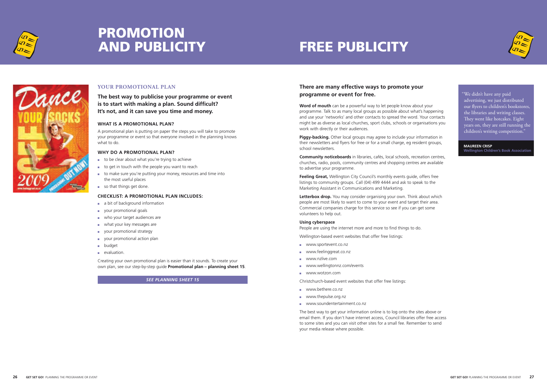



### **PROMOTION** and publicity

# **FREE PUBLICITY**



### **YOUR PROMOTIONAL PLAN**

**The best way to publicise your programme or event is to start with making a plan. Sound difficult? It's not, and it can save you time and money.**

#### **What is a promotional plan?**

A promotional plan is putting on paper the steps you will take to promote your programme or event so that everyone involved in the planning knows what to do.

#### **Why do a promotional plan?**

- to be clear about what you're trying to achieve
- to get in touch with the people you want to reach
- to make sure you're putting your money, resources and time into the most useful places
- so that things get done.

#### **Checklist: a promotional plan includes:**

- a bit of background information
- your promotional goals
- who your target audiences are
- what your key messages are
- your promotional strategy
- your promotional action plan
- budget
- evaluation.

**Word of mouth** can be a powerful way to let people know about your programme. Talk to as many local groups as possible about what's happening and use your 'networks' and other contacts to spread the word. Your contacts might be as diverse as local churches, sport clubs, schools or organisations you work with directly or their audiences.

Creating your own promotional plan is easier than it sounds. To create your own plan, see our step-by-step guide **Promotional plan – planning sheet 15**. **Feeling Great,** Wellington City Council's monthly events guide, offers free listings to community groups. Call (04) 499 4444 and ask to speak to the Marketing Assistant in Communications and Marketing.

*See Planning sheet 15*

### **There are many effective ways to promote your programme or event for free.**

Letterbox drop. You may consider organising your own. Think about which people are most likely to want to come to your event and target their area. Commercial companies charge for this service so see if you can get some volunteers to help out.

- www.sportevent.co.nz
- www.feelinggreat.co.nz
- www.nzlive.com
- www.wellingtonnz.com/events
- www.wotzon.com

**Piggy-backing.** Other local groups may agree to include your information in their newsletters and flyers for free or for a small charge, eg resident groups, school newsletters.

**Community noticeboards** in libraries, cafés, local schools, recreation centres, churches, radio, pools, community centres and shopping centres are available to advertise your programme.

#### **Using cyberspace**

People are using the internet more and more to find things to do.

Wellington-based event websites that offer free listings:

Christchurch-based event websites that offer free listings:

- www.bethere.co.nz
- www.thepulse.org.nz
- www.soundentertainment.co.nz

The best way to get your information online is to log onto the sites above or email them. If you don't have internet access, Council libraries offer free access to some sites and you can visit other sites for a small fee. Remember to send your media release where possible.

"We didn't have any paid advertising, we just distributed our flyers to children's bookstores, the libraries and writing classes. They went like hotcakes. Eight years on, they are still running the children's writing competition."

**MAUREEN CRISP Wellington Children's Book Association**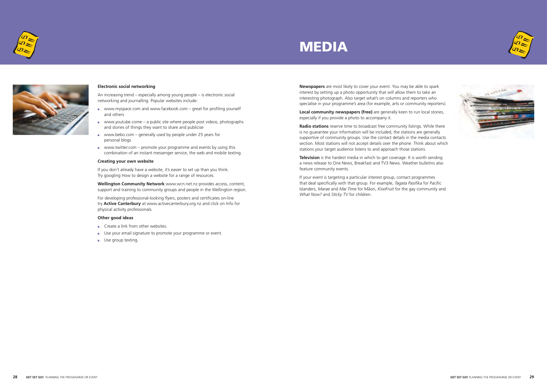



# **MEDIA**





#### **Electronic social networking**

An increasing trend – especially among young people – is electronic social networking and journalling. Popular websites include:

- www.myspace.com and www.facebook.com great for profiling yourself and others
- www.youtube.come a public site where people post videos, photographs and stories of things they want to share and publicise
- www.bebo.com generally used by people under 25 years for personal blogs
- $\blacksquare$  www.twitter.com promote your programme and events by using this combination of an instant messenger service, the web and mobile texting.

#### **Creating your own website**

If you don't already have a website, it's easier to set up than you think. Try googling How to design a website for a range of resources.

**Wellington Community Network** www.wcn.net.nz provides access, content, support and training to community groups and people in the Wellington region.

For developing professional-looking flyers, posters and certificates on-line try **Active Canterbury** at www.activecanterbury.org.nz and click on Info for physical activity professionals.

**Television** is the hardest media in which to get coverage. It is worth sending a news release to One News, Breakfast and TV3 News. Weather bulletins also feature community events.

#### **Other good ideas**

- Create a link from other websites.
- Use your email signature to promote your programme or event.
- Use group texting.

**Newspapers** are most likely to cover your event. You may be able to spark interest by setting up a photo opportunity that will allow them to take an interesting photograph. Also target what's on columns and reporters who specialise in your programme's area (for example, arts or community reporters).

**Local community newspapers (free)** are generally keen to run local stories, especially if you provide a photo to accompany it.

**Radio stations** reserve time to broadcast free community listings. While there is no guarantee your information will be included, the stations are generally supportive of community groups. Use the contact details in the media contacts section. Most stations will not accept details over the phone. Think about which stations your target audience listens to and approach those stations.

If your event is targeting a particular interest group, contact programmes that deal specifically with that group. For example, *Tagata Pasifika* for Pacific Islanders, *Marae* and *Mai Time* for M-aori, *KiwiFruit* for the gay community and *What Now?* and *Sticky TV* for children.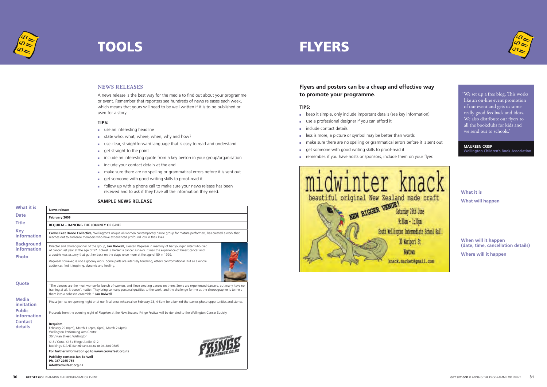

#### **News releases**

A news release is the best way for the media to find out about your programme or event. Remember that reporters see hundreds of news releases each week, which means that yours will need to be well written if it is to be published or used for a story.

#### **Tips:**

- use an interesting headline
- state who, what, where, when, why and how?
- use clear, straightforward language that is easy to read and understand
- get straight to the point
- include an interesting quote from a key person in your group/organisation
- include your contact details at the end
- make sure there are no spelling or grammatical errors before it is sent out
- get someone with good writing skills to proof-read it
- follow up with a phone call to make sure your news release has been received and to ask if they have all the information they need.

#### **Sample news release**



# **FLYERS**

| What it is                                              | News release                                                                                                                                                                                                                                                                                                                             |  |  |  |
|---------------------------------------------------------|------------------------------------------------------------------------------------------------------------------------------------------------------------------------------------------------------------------------------------------------------------------------------------------------------------------------------------------|--|--|--|
| <b>Date</b>                                             | February 2009                                                                                                                                                                                                                                                                                                                            |  |  |  |
| <b>Title</b>                                            | <b>REQUIEM - DANCING THE JOURNEY OF GRIEF</b>                                                                                                                                                                                                                                                                                            |  |  |  |
| <b>Key</b><br><b>information</b>                        | Crows Feet Dance Collective, Wellington's unique all-women contemporary dance group for mature performers, has created a work that<br>reaches out to audience members who have experienced profound loss in their lives.                                                                                                                 |  |  |  |
| <b>Background</b><br><b>information</b><br><b>Photo</b> | Director and choreographer of the group, Jan Bolwell, created Requiem in memory of her younger sister who died<br>of cancer last year at the age of 52. Bolwell is herself a cancer survivor. It was the experience of breast cancer and<br>a double mastectomy that got her back on the stage once more at the age of 50 in 1999.       |  |  |  |
|                                                         | Requiem however, is not a gloomy work. Some parts are intensely touching, others confrontational. But as a whole<br>audiences find it inspiring, dynamic and healing.                                                                                                                                                                    |  |  |  |
| Quote                                                   | "The dancers are the most wonderful bunch of women, and I love creating dances on them. Some are experienced dancers, but many have no<br>training at all. It doesn't matter. They bring so many personal qualities to the work, and the challenge for me as the choreographer is to meld<br>them into a cohesive ensemble." Jan Bolwell |  |  |  |
| <b>Media</b><br>invitation                              | Please join us on opening night or at our final dress rehearsal on February 28, 4-8pm for a behind-the-scenes photo opportunities and stories.                                                                                                                                                                                           |  |  |  |
| <b>Public</b><br>information                            | Proceeds from the opening night of Requiem at the New Zealand Fringe Festival will be donated to the Wellington Cancer Society.                                                                                                                                                                                                          |  |  |  |
| <b>Contact</b><br>details                               | Requiem<br>February 29 (8pm), March 1 (2pm, 6pm), March 2 (4pm)<br>Wellington Performing Arts Centre<br>36 Vivian Street, Wellington                                                                                                                                                                                                     |  |  |  |
|                                                         | \$18 / Conc. \$15 / Fringe Addict \$12<br>Bookings: DANZ danz@danz.co.nz or 04 384 9885                                                                                                                                                                                                                                                  |  |  |  |
|                                                         | For further information go to www.crowsfeet.org.nz                                                                                                                                                                                                                                                                                       |  |  |  |
|                                                         | <b>Publicity contact: Jan Bolwell</b><br>Ph. 027 2265 755<br>info@crowsfeet.org.nz                                                                                                                                                                                                                                                       |  |  |  |

### **Flyers and posters can be a cheap and effective way to promote your programme.**

#### **Tips:**

- keep it simple, only include important details (see key information)
- use a professional designer if you can afford it
- include contact details
- less is more, a picture or symbol may be better than words
- make sure there are no spelling or grammatical errors before it is sent out
- get someone with good writing skills to proof-read it
- remember, if you have hosts or sponsors, include them on your flyer.



"We set up a free blog. This works like an on-line event promotion of our event and gets us some really good feedback and ideas. We also distribute our flyers to all the bookclubs for kids and we send out to schools.'

**MAUREEN CRISP Wellington Children's Book Association**

**What it is What will happen**

**When will it happen (date, time, cancellation details)**

**Where will it happen**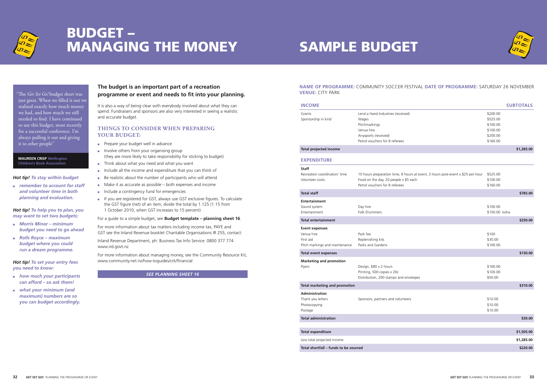



### Budget – managing the money

#### **The budget is an important part of a recreation programme or event and needs to fit into your planning.**

It is also a way of being clear with everybody involved about what they can spend. Fundraisers and sponsors are also very interested in seeing a realistic and accurate budget.

#### **Things to consider when preparing your budget:**

- Prepare your budget well in advance
- Involve others from your organising group (they are more likely to take responsibility for sticking to budget)
- Think about what you need and what you want
- Include all the income and expenditure that you can think of
- Be realistic about the number of participants who will attend
- Make it as accurate as possible both expenses and income
- Include a contingency fund for emergencies
- If you are registered for GST, always use GST exclusive figures. To calculate the GST figure (net) of an item, divide the total by 1.125 (1.15 from 1 October 2010, when GST increases to 15 percent)

#### For a guide to a simple budget, see **Budget template – planning sheet 16**.

For more information about tax matters including income tax, PAYE and GST see the Inland Revenue booklet Charitable Organisations IR 255, contact:

Inland Revenue Department, ph: Business Tax Info Service: 0800 377 774 www.ird.govt.nz

For more information about managing money, see the Community Resource Kit, www.community.net.nz/how-toguides/crk/financial

*See Planning sheet 16*

"The *Get Set Go!* budget sheet was just great. When we filled it out we realised exactly how much money we had, and how much we still needed to find. I have continued to use this budget, most recently for a successful conference. I'm always pulling it out and giving it to other people"

**MAUREEN CRISP Wellington Children's Book Association**

#### *Hot tip! To stay within budget*

■ *remember to account for staff and volunteer time in both planning and evaluation.*

*Hot tip! To help you to plan, you may want to set two budgets:*

- *Morris Minor minimum budget you need to go ahead*
- *Rolls Royce maximum budget where you could run a dream programme.*

*Hot tip! To set your entry fees you need to know:*

- *how much your participants can afford – so ask them!*
- *what your minimum (and maximum) numbers are so you can budget accordingly.*

## Sample budget

#### **Name of programme:** Community Soccer Festival **Date of programme:** Saturday 26 November **Venue:** City park

### **INCOME** SUBtotals in the substitution of the substitution of the substitution of the substitution of the substitution of the substitution of the substitution of the substitution of the substitution of the substitution of Grants **Contract Contract Contract Lend a Hand Industries (received)** Sponsorship in kind Wages Pitchmarkings Venue hire Anysports (received) Petrol vouchers for 8 referees **Total projected income EXPENDITURE Staff** Recreation coordinators' time 10 hours preparation time, 8 hours post-Volunteer costs  $V$ olunteer costs  $V$ Petrol vouchers for 8 referees **Entertainment** Sound system **Sound system** Day hire **Burneau and Struck and Struck and Struck and Struck and Struck and Struck and Struck and Struck and Struck and Struck and Struck and Struck and Struck and Struck and Struck and Struck** Entertainment Folk Drummers **Total entertainment Event expenses** Venue hire Park fee \$100 First aid Replenishing kits Pitch markings and maintenance Parks and Gardens **Total event expenses Marketing and promotion**  Flyers Design, \$80 x 2 hours Printing, 500 copies x 20c Distribution, 200 stamps and envelo **Total marketing and promotion Administration** Thank you letters Sponsors, partners and volunteers Photocopying \$10.00  $$10.00$ Postage \$10.00  $\sim$  $Total$  administration **Total expenditure**

| <b>INCOME</b>                                                                      |                                                                                                                                                            |                                                                      | <b>SUBTOTALS</b> |
|------------------------------------------------------------------------------------|------------------------------------------------------------------------------------------------------------------------------------------------------------|----------------------------------------------------------------------|------------------|
| Grants<br>Sponsorship in kind                                                      | Lend a Hand Industries (received)<br>Wages<br>Pitchmarkings<br>Venue hire<br>Anysports (received)<br>Petrol vouchers for 8 referees                        | \$200.00<br>\$525.00<br>\$100.00<br>\$100.00<br>\$200.00<br>\$160.00 |                  |
| <b>Total projected income</b>                                                      |                                                                                                                                                            |                                                                      | \$1,285.00       |
| <b>EXPENDITURE</b>                                                                 |                                                                                                                                                            |                                                                      |                  |
| Staff<br>Recreation coordinators' time<br>Volunteer costs                          | 10 hours preparation time, 8 hours at event, 3 hours post-event x \$25 per hour<br>Food on the day, 20 people x \$5 each<br>Petrol vouchers for 8 referees | \$525.00<br>\$100.00<br>\$160.00                                     |                  |
| <b>Total staff</b>                                                                 |                                                                                                                                                            |                                                                      | \$785.00         |
| <b>Entertainment</b><br>Sound system<br>Entertainment                              | Day hire<br><b>Folk Drummers</b>                                                                                                                           | \$100.00<br>\$150.00 koha                                            |                  |
| <b>Total entertainment</b>                                                         |                                                                                                                                                            |                                                                      | \$250.00         |
| <b>Event expenses</b><br>Venue hire<br>First aid<br>Pitch markings and maintenance | Park fee<br>Replenishing kits<br>Parks and Gardens                                                                                                         | \$100<br>\$30.00<br>\$100.00                                         |                  |
| <b>Total event expenses</b>                                                        |                                                                                                                                                            |                                                                      | \$130.00         |
| <b>Marketing and promotion</b><br>Flyers                                           | Design, \$80 x 2 hours<br>Printing, 500 copies x 20c<br>Distribution, 200 stamps and envelopes                                                             | \$160.00<br>\$100.00<br>\$50.00                                      |                  |
| <b>Total marketing and promotion</b>                                               |                                                                                                                                                            |                                                                      | \$310.00         |
| <b>Administration</b><br>Thank you letters<br>Photocopying<br>Postage              | Sponsors, partners and volunteers                                                                                                                          | \$10.00<br>\$10.00<br>\$10.00                                        |                  |
| <b>Total administration</b>                                                        |                                                                                                                                                            |                                                                      | \$30.00          |
|                                                                                    |                                                                                                                                                            |                                                                      |                  |
| <b>Total expenditure</b>                                                           |                                                                                                                                                            |                                                                      | \$1,505.00       |
| Less total projected income                                                        |                                                                                                                                                            |                                                                      | \$1,285.00       |
| Total shortfall - funds to be sourced                                              |                                                                                                                                                            |                                                                      | \$220.00         |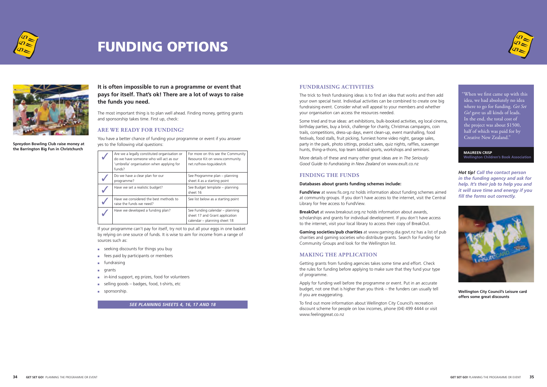

**It is often impossible to run a programme or event that pays for itself. That's ok! There are a lot of ways to raise the funds you need.** 

The most important thing is to plan well ahead. Finding money, getting grants and sponsorship takes time. First up, check:

#### **Are we ready for funding?**

You have a better chance of funding your programme or event if you answer yes to the following vital questions:

| Are we a legally constituted organisation or<br>do we have someone who will act as our<br>'umbrella' organisation when applying for<br>funds? | For more on this see the Community<br>Resource Kit on www.community.<br>net.nz/how-toguides/crk   |
|-----------------------------------------------------------------------------------------------------------------------------------------------|---------------------------------------------------------------------------------------------------|
| Do we have a clear plan for our<br>programme?                                                                                                 | See Programme plan – planning<br>sheet 4 as a starting point                                      |
| Have we set a realistic budget?                                                                                                               | See Budget template - planning<br>sheet 16                                                        |
| Have we considered the best methods to<br>raise the funds we need?                                                                            | See list below as a starting point                                                                |
| Have we developed a funding plan?                                                                                                             | See Funding calendar - planning<br>sheet 17 and Grant application<br>calendar - planning sheet 18 |

If your programme can't pay for itself, try not to put all your eggs in one basket by relying on one source of funds. It is wise to aim for income from a range of sources such as:

- seeking discounts for things you buy
- fees paid by participants or members
- fundraising
- grants
- in-kind support, eg prizes, food for volunteers
- selling goods badges, food, t-shirts, etc
- sponsorship.

**FundView** at www.fis.org.nz holds information about funding schemes aimed at community groups. If you don't have access to the internet, visit the Central Library for free access to FundView.



# Funding options



#### **Fundraising activities**

The trick to fresh fundraising ideas is to find an idea that works and then add your own special twist. Individual activities can be combined to create one big fundraising event. Consider what will appeal to your members and whether your organisation can access the resources needed.

Some tried and true ideas: art exhibitions, bulk-booked activities, eg local cinema, birthday parties, buy a brick, challenge for charity, Christmas campaigns, coin trails, competitions, dress-up days, event clean-up, event marshalling, food festivals, food stalls, fruit picking, funniest home video night, garage sales, party in the park, photo sittings, product sales, quiz nights, raffles, scavenger hunts, thing-a-thons, top team tabloid sports, workshops and seminars.

More details of these and many other great ideas are in *The Seriously Good Guide to Fundraising in New Zealand* on www.exult.co.nz

#### **Finding the funds**

#### **Databases about grants funding schemes include:**

**BreakOut** at www.breakout.org.nz holds information about awards, scholarships and grants for individual development. If you don't have access to the internet, visit your local library to access their copy of BreakOut.

**Gaming societies/pub charities** at www.gaming.dia.govt.nz has a list of pub charities and gaming societies who distribute grants. Search for Funding for Community Groups and look for the Wellington list.

#### **Making the application**

Getting grants from funding agencies takes some time and effort. Check the rules for funding before applying to make sure that they fund your type of programme.

Apply for funding well before the programme or event. Put in an accurate budget, not one that is higher than you think – the funders can usually tell if you are exaggerating.

To find out more information about Wellington City Council's recreation discount scheme for people on low incomes, phone (04) 499 4444 or visit www.feelinggreat.co.nz

"When we first came up with this idea, we had absolutely no idea where to go for funding. *Get Set Go!* gave us all kinds of leads. In the end, the total cost of the project was about \$1500, half of which was paid for by Creative New Zealand."

*See Planning sheets 4, 16, 17 and 18*

*Hot tip! Call the contact person in the funding agency and ask for help. It's their job to help you and it will save time and energy if you fill the forms out correctly.*

**MAUREEN CRISP Wellington Children's Book Association**



**Wellington City Council's Leisure card offers some great discounts**

**Spreydon Bowling Club raise money at the Barrington Big Fun in Christchurch**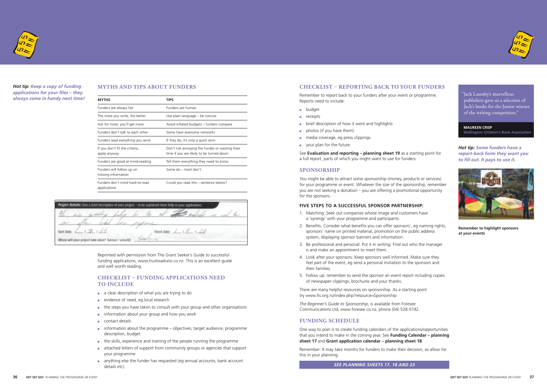

#### **Myths and tips about funders**

| <b>MYTHS</b>                                     | <b>TIPS</b>                                                                                 |
|--------------------------------------------------|---------------------------------------------------------------------------------------------|
| Funders are always fair                          | Funders are human                                                                           |
| The more you write, the better                   | Use plain language - be concise                                                             |
| Ask for more, you'll get more                    | Avoid inflated budgets - funders compare                                                    |
| Funders don't talk to each other                 | Some have awesome networks                                                                  |
| Funders read everything you send                 | If they do, it's only a quick skim                                                          |
| If you don't fit the criteria,<br>apply anyway   | Don't risk annoying the funder or wasting their<br>time if you are likely to be turned down |
| Funders are good at mind-reading                 | Tell them everything they need to know                                                      |
| Funders will follow up on<br>missing information | Some $do$ – most don't                                                                      |
| Funders don't mind hard-to-read<br>applications  | Could you read this - sentence below?                                                       |

| Project Details: Give a brief description of your project - to be explained more fully in your application: |
|-------------------------------------------------------------------------------------------------------------|
| fully to the                                                                                                |
|                                                                                                             |
| Finish Date:                                                                                                |
| Sections<br>Where will your project take place? (venue / suburb):                                           |

#### **Checklist – funding applications need TO INCLUDE**



*Hot tip: Keep a copy of funding applications for your files – they always come in handy next time!*

- a clear description of what you are trying to do
- evidence of need, eg local research
- the steps you have taken to consult with your group and other organisations
- information about your group and how you work
- contact details
- $\blacksquare$  information about the programme objectives, target audience, programme description, budget
- the skills, experience and training of the people running the programme
- attached letters of support from community groups or agencies that support your programme
- anything else the funder has requested (eg annual accounts, bank account details etc).

Reprinted with permission from The Grant Seeker's Guide to successful funding applications, www.trustwaikato.co.nz. This is an excellent guide and well worth reading.

### **Checklist – reporting back to your funders**

Remember to report back to your funders after your event or programme. Reports need to include:

- budget
- receipts
- brief description of how it went and highlights
- photos (if you have them)
- media coverage, eg press clippings
- your plan for the future.

See **Evaluation and reporting – planning sheet 19** as a starting point for a full report, parts of which you might want to use for funders.

#### **Sponsorship**

You might be able to attract some sponsorship (money, products or services) for your programme or event. Whatever the size of the sponsorship, remember you are not seeking a donation – you are offering a promotional opportunity for the sponsors.

#### **Five steps to a successful sponsor partnership:**

- 1. Matching: Seek out companies whose image and customers have a 'synergy' with your programme and participants.
- 2. Benefits: Consider what benefits you can offer sponsors', eg naming rights, sponsors' name on printed material, promotion on the public address system, displaying sponsor banners and information.
- 3. Be professional and personal: Put it in writing. Find out who the manager is and make an appointment to meet them.
- 4. Look after your sponsors: Keep sponsors well informed. Make sure they feel part of the event, eg send a personal invitation to the sponsors and their families.
- 5. Follow up: remember to send the sponsor an event report including copies of newspaper clippings, brochures and your thanks.

There are many helpful resources on sponsorship. As a starting point try www.fis.org.nz/index.php?resource=Sponsorship

*The Beginner's Guide to Sponsorship*, is available from Foresee Communications Ltd, www.foresee.co.nz, phone (04) 528 0742.

#### **Funding schedule**

One way to plan is to create funding calendars of the applications/opportunities that you intend to make in the coming year. See **Funding Calendar – planning sheet 17** and **Grant application calendar – planning sheet 18**.

Remember: It may take months for funders to make their decision, so allow for this in your planning.

"Jack Lasenby's marvellous publishers gave us a selection of Jack's books for the Junior winner of the writing competition."

*Hot tip: Some funders have a report-back form they want you to fill out. It pays to use it.* 



**MAUREEN CRISP Wellington Children's Book Association**

**Remember to highlight sponsors at your events**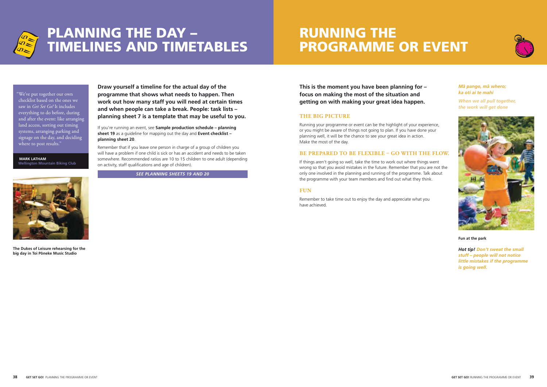

**Draw yourself a timeline for the actual day of the programme that shows what needs to happen. Then work out how many staff you will need at certain times and when people can take a break. People: task lists – planning sheet 7 is a template that may be useful to you.**



### PLANNING THE DAY – timelines and timetables

If you're running an event, see **Sample production schedule – planning sheet 19** as a guideline for mapping out the day and **Event checklist – planning sheet 20**.

### **RUNNING THE** programme or event

Remember that if you leave one person in charge of a group of children you will have a problem if one child is sick or has an accident and needs to be taken somewhere. Recommended ratios are 10 to 15 children to one adult (depending on activity, staff qualifications and age of children).

We've put together our own checklist based on the ones we saw in *Get Set Go!* It includes everything to do before, during and after the event: like arranging land access, sorting out timing systems, arranging parking and signage on the day, and deciding where to post results."

 **MARK LATHAM Wellington Mountain Biking Club**



#### $M$ *ā pango, mā whero; ka oti ai te mahi*

**The Dukes of Leisure rehearsing for the big day in Toi P-oneke Music Studio**

#### *See Planning sheets 19 and 20*

**This is the moment you have been planning for – focus on making the most of the situation and getting on with making your great idea happen.**

#### **The big picture**

Running your programme or event can be the highlight of your experience, or you might be aware of things not going to plan. If you have done your planning well, it will be the chance to see your great idea in action. Make the most of the day.

### **Be prepared to be flexible – go with the flow.**

If things aren't going so well, take the time to work out where things went wrong so that you avoid mistakes in the future. Remember that you are not the only one involved in the planning and running of the programme. Talk about the programme with your team members and find out what they think.

#### **Fun**

Remember to take time out to enjoy the day and appreciate what you have achieved.

> *Hot tip! Don't sweat the small stuff – people will not notice little mistakes if the programme is going well.*

**Fun at the park**

*When we all pull together, the work will get done*

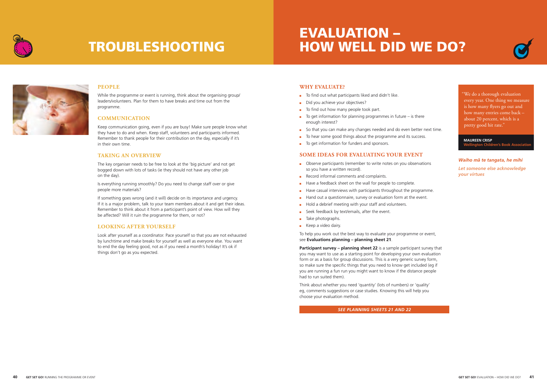



#### **People**

While the programme or event is running, think about the organising group/ leaders/volunteers. Plan for them to have breaks and time out from the programme.

#### **Communication**

Keep communication going, even if you are busy! Make sure people know what they have to do and when. Keep staff, volunteers and participants informed. Remember to thank people for their contribution on the day, especially if it's in their own time.

#### **Taking an overview**

The key organiser needs to be free to look at the 'big picture' and not get bogged down with lots of tasks (ie they should not have any other job on the day).

### Evaluation – **HOW WELL DID WE DO?**



Is everything running smoothly? Do you need to change staff over or give people more materials?

If something goes wrong (and it will) decide on its importance and urgency. If it is a major problem, talk to your team members about it and get their ideas. Remember to think about it from a participant's point of view. How will they be affected? Will it ruin the programme for them, or not?

#### **Looking after yourself**

Look after yourself as a coordinator. Pace yourself so that you are not exhausted by lunchtime and make breaks for yourself as well as everyone else. You want to end the day feeling good, not as if you need a month's holiday! It's ok if things don't go as you expected.



### Troubleshooting

#### **Why evaluate?**

- To find out what participants liked and didn't like.
- Did you achieve your objectives?
- To find out how many people took part.
- $\blacksquare$  To get information for planning programmes in future is there enough interest?
- So that you can make any changes needed and do even better next time.
- To hear some good things about the programme and its success.
- To get information for funders and sponsors.

**Participant survey – planning sheet 22** is a sample participant survey that you may want to use as a starting point for developing your own evaluation form or as a basis for group discussions. This is a very generic survey form, so make sure the specific things that you need to know get included (eg if you are running a fun run you might want to know if the distance people had to run suited them).

**MAUREEN CRISP Wington Children's Book Association** 

### **Some ideas for evaluating your event**

- Observe participants (remember to write notes on you observations so you have a written record).
- Record informal comments and complaints.
- Have a feedback sheet on the wall for people to complete.
- Have casual interviews with participants throughout the programme.
- Hand out a questionnaire, survey or evaluation form at the event.
- Hold a debrief meeting with your staff and volunteers.
- Seek feedback by text/emails, after the event.
- Take photographs.
- Keep a video dairy.

To help you work out the best way to evaluate your programme or event, see **Evaluations planning – planning sheet 21**.

Think about whether you need 'quantity' (lots of numbers) or 'quality' eg, comments suggestions or case studies. Knowing this will help you choose your evaluation method.

"We do a thorough evaluation every year. One thing we measure is how many flyers go out and how many entries come back – about 20 percent, which is a pretty good hit rate."

*Waiho m-a te tangata, he mihi Let someone else acknowledge your virtues*